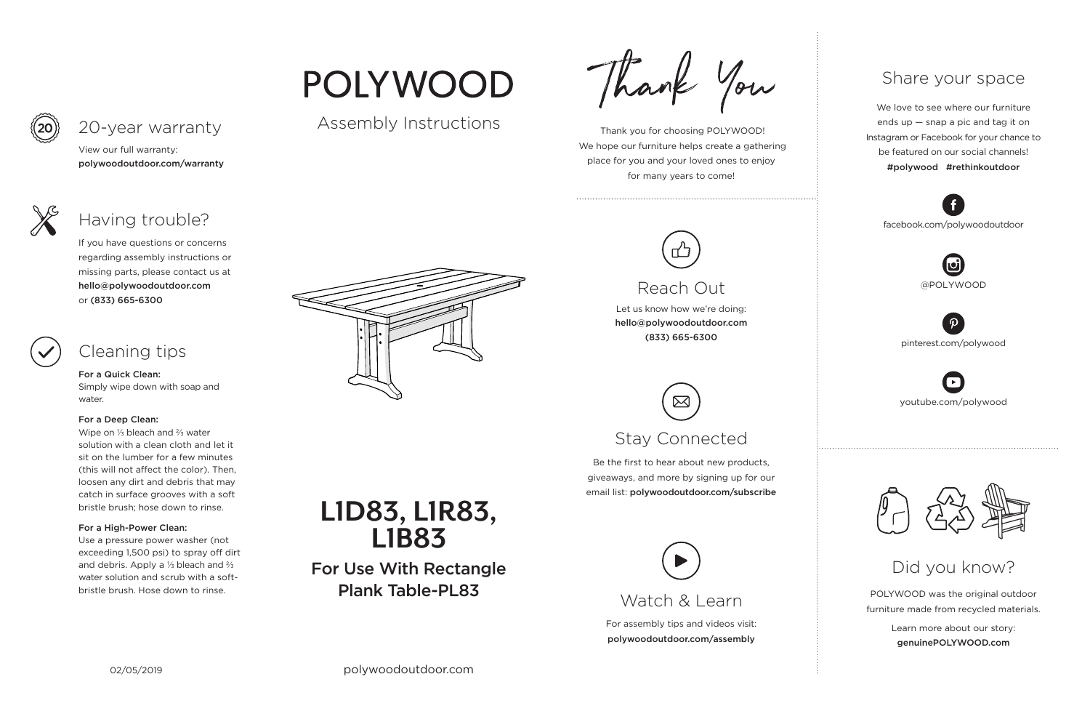For assembly tips and videos visit: polywoodoutdoor.com/assembly



 Thank you for choosing POLYWOOD! We hope our furniture helps create a gathering place for you and your loved ones to enjoy for many years to come!

Let us know how we're doing: hello@polywoodoutdoor.com (833) 665-6300

Be the first to hear about new products, giveaways, and more by signing up for our email list: polywoodoutdoor.com/subscribe



POLYWOOD was the original outdoor furniture made from recycled materials.

> Learn more about our story: genuinePOLYWOOD.com

We love to see where our furniture ends up — snap a pic and tag it on Instagram or Facebook for your chance to be featured on our social channels! #polywood #rethinkoutdoor



youtube.com/polywood



pinterest.com/polywood



facebook.com/polywoodoutdoor





# POLYWOOD

# Assembly Instructions

Thank You

# Watch & Learn

# Reach Out

# Stay Connected

## Share your space

### Did you know?

View our full warranty: polywoodoutdoor.com/warranty



For a Quick Clean:

Simply wipe down with soap and water.

#### For a Deep Clean:

Wipe on ⅓ bleach and ⅔ water solution with a clean cloth and let it sit on the lumber for a few minutes (this will not affect the color). Then, loosen any dirt and debris that may catch in surface grooves with a soft bristle brush; hose down to rinse.

### For a High-Power Clean:

Use a pressure power washer (not exceeding 1,500 psi) to spray off dirt and debris. Apply a ⅓ bleach and ⅔ water solution and scrub with a softbristle brush. Hose down to rinse.



If you have questions or concerns regarding assembly instructions or missing parts, please contact us at hello@polywoodoutdoor.com or (833) 665-6300



# 20-year warranty

# Having trouble?

# Cleaning tips



For Use With Rectangle Plank Table-PL83